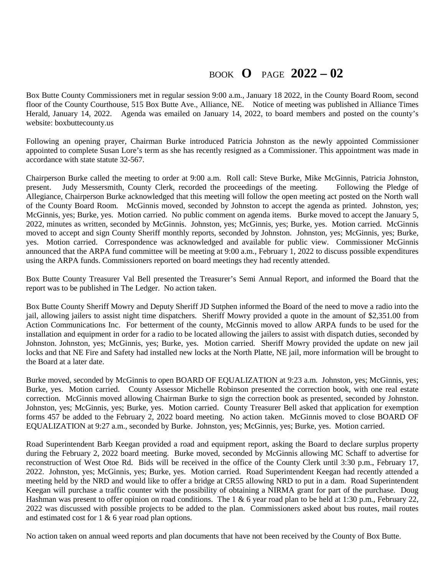## BOOK **O** PAGE **2022 – 02**

Box Butte County Commissioners met in regular session 9:00 a.m., January 18 2022, in the County Board Room, second floor of the County Courthouse, 515 Box Butte Ave., Alliance, NE. Notice of meeting was published in Alliance Times Herald, January 14, 2022. Agenda was emailed on January 14, 2022, to board members and posted on the county's website: boxbuttecounty.us

Following an opening prayer, Chairman Burke introduced Patricia Johnston as the newly appointed Commissioner appointed to complete Susan Lore's term as she has recently resigned as a Commissioner. This appointment was made in accordance with state statute 32-567.

Chairperson Burke called the meeting to order at 9:00 a.m. Roll call: Steve Burke, Mike McGinnis, Patricia Johnston, present. Judy Messersmith, County Clerk, recorded the proceedings of the meeting. Following the Pledge of Allegiance, Chairperson Burke acknowledged that this meeting will follow the open meeting act posted on the North wall of the County Board Room. McGinnis moved, seconded by Johnston to accept the agenda as printed. Johnston, yes; McGinnis, yes; Burke, yes. Motion carried. No public comment on agenda items. Burke moved to accept the January 5, 2022, minutes as written, seconded by McGinnis. Johnston, yes; McGinnis, yes; Burke, yes. Motion carried. McGinnis moved to accept and sign County Sheriff monthly reports, seconded by Johnston. Johnston, yes; McGinnis, yes; Burke, yes. Motion carried. Correspondence was acknowledged and available for public view. Commissioner McGinnis announced that the ARPA fund committee will be meeting at 9:00 a.m., February 1, 2022 to discuss possible expenditures using the ARPA funds. Commissioners reported on board meetings they had recently attended.

Box Butte County Treasurer Val Bell presented the Treasurer's Semi Annual Report, and informed the Board that the report was to be published in The Ledger. No action taken.

Box Butte County Sheriff Mowry and Deputy Sheriff JD Sutphen informed the Board of the need to move a radio into the jail, allowing jailers to assist night time dispatchers. Sheriff Mowry provided a quote in the amount of \$2,351.00 from Action Communications Inc. For betterment of the county, McGinnis moved to allow ARPA funds to be used for the installation and equipment in order for a radio to be located allowing the jailers to assist with dispatch duties, seconded by Johnston. Johnston, yes; McGinnis, yes; Burke, yes. Motion carried. Sheriff Mowry provided the update on new jail locks and that NE Fire and Safety had installed new locks at the North Platte, NE jail, more information will be brought to the Board at a later date.

Burke moved, seconded by McGinnis to open BOARD OF EQUALIZATION at 9:23 a.m. Johnston, yes; McGinnis, yes; Burke, yes. Motion carried. County Assessor Michelle Robinson presented the correction book, with one real estate correction. McGinnis moved allowing Chairman Burke to sign the correction book as presented, seconded by Johnston. Johnston, yes; McGinnis, yes; Burke, yes. Motion carried. County Treasurer Bell asked that application for exemption forms 457 be added to the February 2, 2022 board meeting. No action taken. McGinnis moved to close BOARD OF EQUALIZATION at 9:27 a.m., seconded by Burke. Johnston, yes; McGinnis, yes; Burke, yes. Motion carried.

Road Superintendent Barb Keegan provided a road and equipment report, asking the Board to declare surplus property during the February 2, 2022 board meeting. Burke moved, seconded by McGinnis allowing MC Schaff to advertise for reconstruction of West Otoe Rd. Bids will be received in the office of the County Clerk until 3:30 p.m., February 17, 2022. Johnston, yes; McGinnis, yes; Burke, yes. Motion carried. Road Superintendent Keegan had recently attended a meeting held by the NRD and would like to offer a bridge at CR55 allowing NRD to put in a dam. Road Superintendent Keegan will purchase a traffic counter with the possibility of obtaining a NIRMA grant for part of the purchase. Doug Hashman was present to offer opinion on road conditions. The 1 & 6 year road plan to be held at 1:30 p.m., February 22, 2022 was discussed with possible projects to be added to the plan. Commissioners asked about bus routes, mail routes and estimated cost for 1 & 6 year road plan options.

No action taken on annual weed reports and plan documents that have not been received by the County of Box Butte.